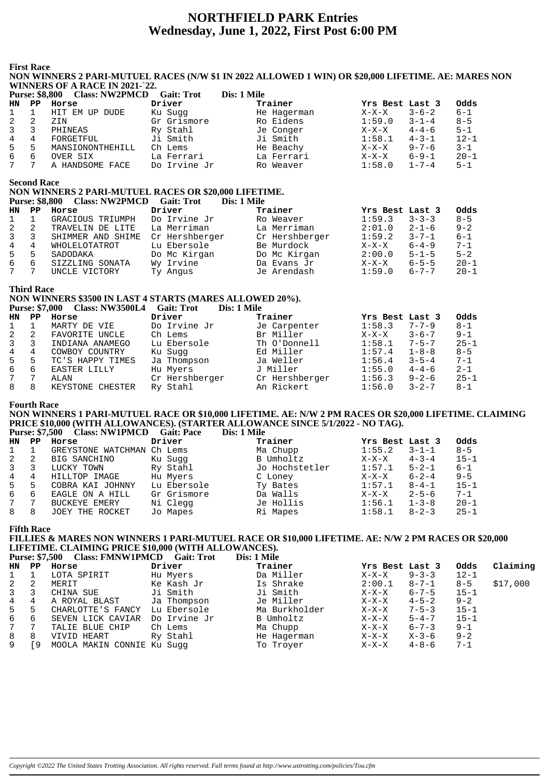# **NORTHFIELD PARK Entries Wednesday, June 1, 2022, First Post 6:00 PM**

**First Race**

### **NON WINNERS 2 PARI-MUTUEL RACES (N/W \$1 IN 2022 ALLOWED 1 WIN) OR \$20,000 LIFETIME. AE: MARES NON WINNERS OF A RACE IN 2021-`22.**

| <b>Purse: \$8,800</b> |     | <b>Class: NW2PMCD</b> | <b>Gait: Trot</b> | Dis: 1 Mile |                 |             |          |
|-----------------------|-----|-----------------------|-------------------|-------------|-----------------|-------------|----------|
| HN.                   | PP. | Horse                 | Driver            | Trainer     | Yrs Best Last 3 |             | Odds     |
| $\mathbf{1}$          |     | HIT EM UP DUDE        | Ku Sugg           | He Hagerman | $X-X-X$         | $3 - 6 - 2$ | $6 - 1$  |
| 2                     |     | ZIN                   | Gr Grismore       | Ro Eidens   | 1:59.0          | $3 - 1 - 4$ | $8 - 5$  |
| 3                     |     | PHINEAS               | Ry Stahl          | Je Conger   | $X-X-X$         | $4 - 4 - 6$ | $5 - 1$  |
| 4                     | 4   | FORGETFUL             | Ji Smith          | Ji Smith    | 1:58.1          | $4 - 3 - 1$ | $12 - 1$ |
| 5                     | 5   | MANSIONONTHEHILL      | Ch Lems           | He Beachy   | $X-X-X$         | $9 - 7 - 6$ | $3 - 1$  |
| 6                     | 6   | OVER SIX              | La Ferrari        | La Ferrari  | $X-X-X$         | $6 - 9 - 1$ | $20 - 1$ |
|                       |     | A HANDSOME FACE       | Do Irvine Jr      | Ro Weaver   | 1:58.0          | $1 - 7 - 4$ | $5 - 1$  |

**Second Race**

## **NON WINNERS 2 PARI-MUTUEL RACES OR \$20,000 LIFETIME.**

|              |     | Purse: \$8,800 Class: NW2PMCD | <b>Gait: Trot</b> | Dis: 1 Mile    |                 |             |          |
|--------------|-----|-------------------------------|-------------------|----------------|-----------------|-------------|----------|
| HN           | PP. | Horse                         | Driver            | Trainer        | Yrs Best Last 3 |             | Odds     |
| 1            |     | GRACIOUS TRIUMPH              | Do Irvine Jr      | Ro Weaver      | 1:59.3          | $3 - 3 - 3$ | $8 - 5$  |
| $\mathbf{2}$ | 2   | TRAVELIN DE LITE              | La Merriman       | La Merriman    | 2:01.0          | $2 - 1 - 6$ | $9 - 2$  |
| $\mathbf{3}$ | 3   | SHIMMER AND SHIME             | Cr Hershberger    | Cr Hershberger | 1:59.2          | $3 - 7 - 1$ | $6 - 1$  |
| 4            | 4   | WHOLELOTATROT                 | Lu Ebersole       | Be Murdock     | $X-X-X$         | $6 - 4 - 9$ | $7 - 1$  |
| $5 -$        | 5   | SADODAKA                      | Do Mc Kirgan      | Do Mc Kirgan   | 2:00.0          | $5 - 1 - 5$ | $5 - 2$  |
| 6            | 6   | SIZZLING SONATA               | Wy Irvine         | Da Evans Jr    | $X-X-X$         | $6 - 5 - 5$ | $20 - 1$ |
| 7            |     | UNCLE VICTORY                 | Ty Angus          | Je Arendash    | 1:59.0          | $6 - 7 - 7$ | $20 - 1$ |

### **Third Race**

### **NON WINNERS \$3500 IN LAST 4 STARTS (MARES ALLOWED 20%).**<br>Purse: \$7,000 Closs: NW35001.4 Coit: Tret Dig: 1 Mile **Purse: \$7,000 Class: NW3500L4 Gait: Trot**

|              |    | Turse. 37,000 Class. INVOSUULT | -Gail. 1100<br>різ. І ічне |                |                 |             |          |
|--------------|----|--------------------------------|----------------------------|----------------|-----------------|-------------|----------|
| HN.          | PP | Horse                          | Driver                     | Trainer        | Yrs Best Last 3 |             | Odds     |
| 1            |    | MARTY DE VIE                   | Do Irvine Jr               | Je Carpenter   | 1:58.3          | $7 - 7 - 9$ | $8 - 1$  |
| 2            | 2  | FAVORITE UNCLE                 | Ch Lems                    | Br Miller      | $X-X-X$         | $3 - 6 - 7$ | $9 - 1$  |
| $\mathbf{3}$ |    | INDIANA ANAMEGO                | Lu Ebersole                | Th O'Donnell   | 1:58.1          | $7 - 5 - 7$ | $25 - 1$ |
| 4            | 4  | COWBOY COUNTRY                 | Ku Sugg                    | Ed Miller      | 1:57.4          | $1 - 8 - 8$ | $8 - 5$  |
| 5            | 5  | TC'S HAPPY TIMES               | Ja Thompson                | Ja Weller      | 1:56.4          | $3 - 5 - 4$ | $7 - 1$  |
| 6            | 6  | EASTER LILLY                   | Hu Myers                   | J Miller       | 1:55.0          | $4 - 4 - 6$ | $2 - 1$  |
| 7            |    | ALAN                           | Cr Hershberger             | Cr Hershberger | 1:56.3          | $9 - 2 - 6$ | $25 - 1$ |
| 8            |    | KEYSTONE CHESTER               | Ry Stahl                   | An Rickert     | 1:56.0          | $3 - 2 - 7$ | $8-1$    |
|              |    |                                |                            |                |                 |             |          |

### **Fourth Race**

**NON WINNERS 1 PARI-MUTUEL RACE OR \$10,000 LIFETIME. AE: N/W 2 PM RACES OR \$20,000 LIFETIME. CLAIMING PRICE \$10,000 (WITH ALLOWANCES). (STARTER ALLOWANCE SINCE 5/1/2022 - NO TAG).**

|                |    | Purse: \$7,500 Class: NW1PMCD Gait: Pace |             | Dis: 1 Mile    |                 |             |          |
|----------------|----|------------------------------------------|-------------|----------------|-----------------|-------------|----------|
| HN PP          |    | Horse                                    | Driver      | Trainer        | Yrs Best Last 3 |             | Odds     |
| $1 \quad 1$    |    | GREYSTONE WATCHMAN Ch Lems               |             | Ma Chupp       | 1:55.2          | $3 - 1 - 1$ | $8 - 5$  |
| $2 \quad 2$    |    | BIG SANCHINO                             | Ku Suqq     | B Umholtz      | $X-X-X$         | $4 - 3 - 4$ | $15 - 1$ |
| $3 \quad 3$    |    | LUCKY TOWN                               | Ry Stahl    | Jo Hochstetler | 1:57.1          | $5 - 2 - 1$ | 6-1      |
| $\overline{4}$ | 4  | HILLTOP IMAGE                            | Hu Myers    | C Loney        | $X-X-X$         | $6 - 2 - 4$ | $9 - 5$  |
| $5 -$          | -5 | COBRA KAI JOHNNY                         | Lu Ebersole | Ty Bates       | 1:57.1          | $8 - 4 - 1$ | $15 - 1$ |
| 6              | 6  | EAGLE ON A HILL                          | Gr Grismore | Da Walls       | $X-X-X$         | $2 - 5 - 6$ | $7 - 1$  |
| 7 7            |    | BUCKEYE EMERY                            | Ni Clegg    | Je Hollis      | 1:56.1          | $1 - 3 - 8$ | $20 - 1$ |

### **Fifth Race**

## **FILLIES & MARES NON WINNERS 1 PARI-MUTUEL RACE OR \$10,000 LIFETIME. AE: N/W 2 PM RACES OR \$20,000 LIFETIME. CLAIMING PRICE \$10,000 (WITH ALLOWANCES).**

8 8 JOEY THE ROCKET Jo Mapes Ri Mapes 1:58.1 8-2-3 25-1

|         | Purse: \$7,500 Class: FMNW1PMCD Gait: Trot                                                                                                                                                                                           | Dis: 1 Mile                       |  |
|---------|--------------------------------------------------------------------------------------------------------------------------------------------------------------------------------------------------------------------------------------|-----------------------------------|--|
| $- - -$ | <b>The contract of the contract of the contract of the contract of the contract of the contract of the contract of the contract of the contract of the contract of the contract of the contract of the contract of the contract </b> | the company of the company of the |  |

| HN | PP | Horse                      | Driver       | Trainer       | Yrs Best Last 3 |             | Odds     | Claiming |
|----|----|----------------------------|--------------|---------------|-----------------|-------------|----------|----------|
|    |    | LOTA SPIRIT                | Hu Myers     | Da Miller     | $X-X-X$         | $9 - 3 - 3$ | $12 - 1$ |          |
| 2  |    | MERIT                      | Ke Kash Jr   | Is Shrake     | 2:00.1          | $8 - 7 - 1$ | $8 - 5$  | \$17,000 |
| 3  |    | CHINA SUE                  | Ji Smith     | Ji Smith      | X-X-X           | $6 - 7 - 5$ | $15 - 1$ |          |
| 4  | 4  | A ROYAL BLAST              | Ja Thompson  | Je Miller     | $X-X-X$         | $4 - 5 - 2$ | $9 - 2$  |          |
| 5  | 5  | CHARLOTTE'S FANCY          | Lu Ebersole  | Ma Burkholder | $X-X-X$         | $7 - 5 - 3$ | $15 - 1$ |          |
| 6  | 6  | SEVEN LICK CAVIAR          | Do Irvine Jr | B Umholtz     | $X-X-X$         | $5 - 4 - 7$ | $15 - 1$ |          |
| 7  |    | TALIE BLUE CHIP            | Ch Lems      | Ma Chupp      | $X-X-X$         | $6 - 7 - 3$ | $9 - 1$  |          |
| 8  | 8  | VIVID HEART                | Ry Stahl     | He Hagerman   | X-X-X           | X-3-6       | $9 - 2$  |          |
| 9  | 9  | MOOLA MAKIN CONNIE Ku Suqq |              | To Troyer     | $X-X-X$         | $4 - 8 - 6$ | $7 - 1$  |          |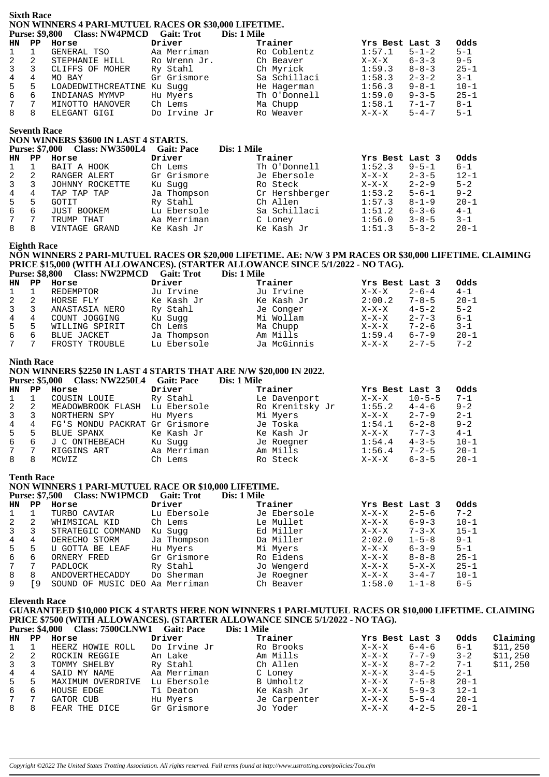### **Sixth Race NON WINNERS 4 PARI-MUTUEL RACES OR \$30,000 LIFETIME. Purse: \$9,800 Class: NW4PMCD Gait: Trot**

|                |    | $\frac{1}{2}$ and $\frac{1}{2}$ and $\frac{1}{2}$ and $\frac{1}{2}$ and $\frac{1}{2}$ and $\frac{1}{2}$ and $\frac{1}{2}$ |              |              |                        |          |
|----------------|----|---------------------------------------------------------------------------------------------------------------------------|--------------|--------------|------------------------|----------|
| HN PP          |    | Horse                                                                                                                     | Driver       | Trainer      | Yrs Best Last 3        | Odds     |
| $1 \quad 1$    |    | GENERAL TSO                                                                                                               | Aa Merriman  | Ro Coblentz  | $5 - 1 - 2$<br>1:57.1  | $5 - 1$  |
| 2              | -2 | STEPHANIE HILL                                                                                                            | Ro Wrenn Jr. | Ch Beaver    | $6 - 3 - 3$<br>$X-X-X$ | $9 - 5$  |
| $\mathbf{3}$   | 3  | CLIFFS OF MOHER                                                                                                           | Ry Stahl     | Ch Myrick    | $8 - 8 - 3$<br>1:59.3  | $25 - 1$ |
| $\overline{4}$ | 4  | MO BAY                                                                                                                    | Gr Grismore  | Sa Schillaci | 1:58.3<br>$2 - 3 - 2$  | $3 - 1$  |
| $5 -$          | 5  | LOADEDWITHCREATINE Ku Suqq                                                                                                |              | He Hagerman  | $9 - 8 - 1$<br>1:56.3  | $10 - 1$ |
| 6              | 6  | INDIANAS MYMVP                                                                                                            | Hu Myers     | Th O'Donnell | 1:59.0<br>$9 - 3 - 5$  | $25 - 1$ |
| 7              |    | MINOTTO HANOVER                                                                                                           | Ch Lems      | Ma Chupp     | $7 - 1 - 7$<br>1:58.1  | $8 - 1$  |
| 8              |    | ELEGANT GIGI                                                                                                              | Do Irvine Jr | Ro Weaver    | $5 - 4 - 7$<br>$X-X-X$ | $5 - 1$  |

### **Seventh Race**

### **NON WINNERS \$3600 IN LAST 4 STARTS.**

|                | <b>Purse: \$7,000</b> | <b>Class: NW3500L4</b> | <b>Gait: Pace</b> | Dis: 1 Mile    |                        |          |
|----------------|-----------------------|------------------------|-------------------|----------------|------------------------|----------|
| HN             | PP                    | Horse                  | Driver            | Trainer        | Yrs Best Last 3        | Odds     |
| 1              |                       | BAIT A HOOK            | Ch Lems           | Th O'Donnell   | 1:52.3<br>$9 - 5 - 1$  | $6 - 1$  |
| 2              | 2                     | RANGER ALERT           | Gr Grismore       | Je Ebersole    | $2 - 3 - 5$<br>X-X-X   | $12 - 1$ |
| $\overline{3}$ |                       | JOHNNY ROCKETTE        | Ku Sugg           | Ro Steck       | $2 - 2 - 9$<br>$X-X-X$ | $5 - 2$  |
| $4^{\circ}$    | 4                     | TAP TAP TAP            | Ja Thompson       | Cr Hershberger | 1:53.2<br>$5 - 6 - 1$  | $9 - 2$  |
| 5              | 5.                    | GOTIT                  | Ry Stahl          | Ch Allen       | $8 - 1 - 9$<br>1:57.3  | $20 - 1$ |
| 6              | 6                     | JUST BOOKEM            | Lu Ebersole       | Sa Schillaci   | $6 - 3 - 6$<br>1:51.2  | $4 - 1$  |
| $7\degree$     |                       | TRUMP THAT             | Aa Merriman       | C Loney        | $3 - 8 - 5$<br>1:56.0  | $3 - 1$  |
| 8              | 8                     | VINTAGE GRAND          | Ke Kash Jr        | Ke Kash Jr     | $5 - 3 - 2$<br>1:51.3  | $20 - 1$ |

### **Eighth Race**

# **NON WINNERS 2 PARI-MUTUEL RACES OR \$20,000 LIFETIME. AE: N/W 3 PM RACES OR \$30,000 LIFETIME. CLAIMING PRICE \$15,000 (WITH ALLOWANCES). (STARTER ALLOWANCE SINCE 5/1/2022 - NO TAG).**

|                |     | Purse: \$8,800 Class: NW2PMCD | <b>Gait: Trot</b> | Dis: 1 Mile |                 |             |          |
|----------------|-----|-------------------------------|-------------------|-------------|-----------------|-------------|----------|
| HN             | PP. | Horse                         | Driver            | Trainer     | Yrs Best Last 3 |             | Odds     |
| 1              |     | REDEMPTOR                     | Ju Irvine         | Ju Irvine   | X-X-X           | $2 - 6 - 4$ | $4 - 1$  |
| 2              |     | HORSE FLY                     | Ke Kash Jr        | Ke Kash Jr  | 2:00.2          | $7 - 8 - 5$ | $20 - 1$ |
| $\overline{3}$ |     | ANASTASIA NERO                | Ry Stahl          | Je Conger   | $X-X-X$         | $4 - 5 - 2$ | $5 - 2$  |
| 4              | 4   | COUNT JOGGING                 | Ku Suqq           | Mi Wollam   | $X-X-X$         | $2 - 7 - 3$ | $6 - 1$  |
| 5              | 5   | WILLING SPIRIT                | Ch Lems           | Ma Chupp    | X-X-X           | $7 - 2 - 6$ | $3 - 1$  |
| 6              | 6   | BLUE JACKET                   | Ja Thompson       | Am Mills    | 1:59.4          | $6 - 7 - 9$ | $20 - 1$ |
| $7^{\circ}$    |     | FROSTY TROUBLE                | Lu Ebersole       | Ja McGinnis | $X-X-X$         | $2 - 7 - 5$ | $7 - 2$  |

### **Ninth Race**

### **NON WINNERS \$2250 IN LAST 4 STARTS THAT ARE N/W \$20,000 IN 2022.**

|                | <b>Purse: \$5,000</b> | <b>Class: NW2250L4</b>         | <b>Gait: Pace</b> | Dis: 1 Mile     |                 |              |          |
|----------------|-----------------------|--------------------------------|-------------------|-----------------|-----------------|--------------|----------|
| <b>HN</b>      | PP                    | Horse                          | Driver            | Trainer         | Yrs Best Last 3 |              | Odds     |
|                |                       | COUSIN LOUIE                   | Ry Stahl          | Le Davenport    | $X-X-X$         | $10 - 5 - 5$ | $7 - 1$  |
| 2              | 2                     | MEADOWBROOK FLASH              | Lu Ebersole       | Ro Krenitsky Jr | 1:55.2          | $4 - 4 - 6$  | $9 - 2$  |
| $\overline{3}$ | 3                     | NORTHERN SPY                   | Hu Myers          | Mi Myers        | $X-X-X$         | $2 - 7 - 9$  | $2 - 1$  |
| 4              | 4                     | FG'S MONDU PACKRAT Gr Grismore |                   | Je Toska        | 1:54.1          | $6 - 2 - 8$  | $9 - 2$  |
| 5              | 5                     | BLUE SPANX                     | Ke Kash Jr        | Ke Kash Jr      | $X-X-X$         | $7 - 7 - 3$  | $4 - 1$  |
| 6              | 6                     | J C ONTHEBEACH                 | Ku Sugg           | Je Roegner      | 1:54.4          | $4 - 3 - 5$  | $10 - 1$ |
| 7              |                       | RIGGINS ART                    | Aa Merriman       | Am Mills        | 1:56.4          | $7 - 2 - 5$  | $20 - 1$ |
| 8              | 8                     | MCWIZ                          | Ch Lems           | Ro Steck        | X-X-X           | $6 - 3 - 5$  | $20 - 1$ |

**Tenth Race**

### **NON WINNERS 1 PARI-MUTUEL RACE OR \$10,000 LIFETIME.** Purse: \$7,500 Class: NW1PMCD Gait: Trot Dis: 1 Mile

| <b>HN</b>   | PP  | Horse                 | Driver      | Trainer     | Yrs Best Last 3 |             | Odds     |
|-------------|-----|-----------------------|-------------|-------------|-----------------|-------------|----------|
|             |     | TURBO CAVIAR          | Lu Ebersole | Je Ebersole | $X-X-X$         | $2 - 5 - 6$ | $7 - 2$  |
| 2           | 2   | WHIMSICAL KID         | Ch Lems     | Le Mullet   | $X-X-X$         | $6 - 9 - 3$ | $10 - 1$ |
| 3           |     | STRATEGIC COMMAND     | Ku Sugg     | Ed Miller   | $X-X-X$         | $7 - 3 - X$ | $15 - 1$ |
| 4           | 4   | DERECHO STORM         | Ja Thompson | Da Miller   | 2:02.0          | $1 - 5 - 8$ | $9 - 1$  |
| 5           | 5.  | U GOTTA BE LEAF       | Hu Myers    | Mi Myers    | $X-X-X$         | $6 - 3 - 9$ | $5 - 1$  |
| 6           | 6   | ORNERY FRED           | Gr Grismore | Ro Eidens   | $X-X-X$         | $8 - 8 - 8$ | $25 - 1$ |
| $7^{\circ}$ |     | PADLOCK               | Ry Stahl    | Jo Wengerd  | $X-X-X$         | $5 - X - X$ | $25 - 1$ |
| 8           | 8   | ANDOVERTHECADDY       | Do Sherman  | Je Roegner  | $X-X-X$         | $3 - 4 - 7$ | $10 - 1$ |
| 9           | i 9 | MUSIC DEO<br>SOUND OF | Aa Merriman | Ch Beaver   | 1:58.0          | $1 - 1 - 8$ | $6 - 5$  |

**Eleventh Race**

### **GUARANTEED \$10,000 PICK 4 STARTS HERE NON WINNERS 1 PARI-MUTUEL RACES OR \$10,000 LIFETIME. CLAIMING PRICE \$7500 (WITH ALLOWANCES). (STARTER ALLOWANCE SINCE 5/1/2022 - NO TAG).**<br>Purse: \$4.000 Class: 7500CLNW1 Gait: Pace Dis: 1 Mile **Purse: \$4,000 Class: 7500CLNW1 Gait: Pace**

|                |    | Turbe villed Chappen Country Turbert | <i><u>DIDI A WARD</u></i> |              |                 |             |          |          |
|----------------|----|--------------------------------------|---------------------------|--------------|-----------------|-------------|----------|----------|
| HN             | PP | Horse                                | Driver                    | Trainer      | Yrs Best Last 3 |             | Odds     | Claiming |
| $\mathbf{1}$   |    | HEERZ HOWIE ROLL                     | Do Irvine Jr              | Ro Brooks    | $X-X-X$         | $6 - 4 - 6$ | $6 - 1$  | \$11,250 |
| 2              | -2 | ROCKIN REGGIE                        | An Lake                   | Am Mills     | X-X-X           | 7-7-9       | $3 - 2$  | \$11,250 |
| $\mathbf{3}$   | 3  | TOMMY SHELBY                         | Ry Stahl                  | Ch Allen     | $X-X-X$         | $8 - 7 - 2$ | $7 - 1$  | \$11,250 |
| $\overline{4}$ | 4  | SAID MY NAME                         | Aa Merriman               | C Loney      | X-X-X           | $3 - 4 - 5$ | $2 - 1$  |          |
| 5              | -5 | MAXIMUM OVERDRIVE                    | Lu Ebersole               | B Umholtz    | $X-X-X$         | $7 - 5 - 8$ | $20 - 1$ |          |
| 6              | -6 | HOUSE EDGE                           | Ti Deaton                 | Ke Kash Jr   | $X-X-X$         | $5 - 9 - 3$ | $12 - 1$ |          |
| 7              |    | GATOR CUB                            | Hu Myers                  | Je Carpenter | $X-X-X$         | $5 - 5 - 4$ | $20 - 1$ |          |
| 8              | 8  | FEAR THE DICE                        | Gr Grismore               | Jo Yoder     | X-X-X           | $4 - 2 - 5$ | $20 - 1$ |          |
|                |    |                                      |                           |              |                 |             |          |          |